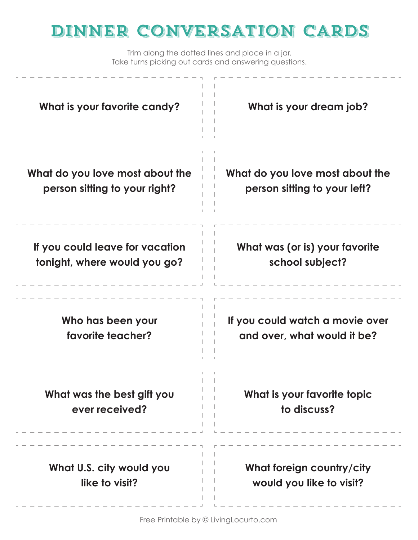| What is your favorite candy?    | What is your dream job?         |
|---------------------------------|---------------------------------|
| What do you love most about the | What do you love most about the |
| person sitting to your right?   | person sitting to your left?    |
| If you could leave for vacation | What was (or is) your favorite  |
| tonight, where would you go?    | school subject?                 |
| Who has been your               | If you could watch a movie over |
| favorite teacher?               | and over, what would it be?     |
| What was the best gift you      | What is your favorite topic     |
| ever received?                  | to discuss?                     |
| What U.S. city would you        | What foreign country/city       |
| like to visit?                  | would you like to visit?        |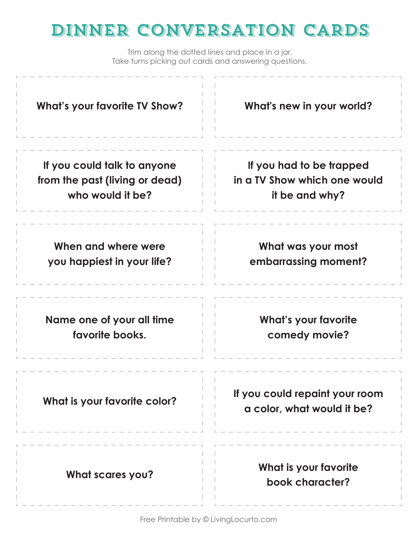| <b>What's your favorite TV Show?</b> | What's new in your world?                                    |
|--------------------------------------|--------------------------------------------------------------|
| If you could talk to anyone          | If you had to be trapped                                     |
| from the past (living or dead)       | in a TV Show which one would                                 |
| who would it be?                     | it be and why?                                               |
| When and where were                  | What was your most                                           |
| you happiest in your life?           | embarrassing moment?                                         |
| Name one of your all time            | <b>What's your favorite</b>                                  |
| favorite books.                      | comedy movie?                                                |
| What is your favorite color?         | If you could repaint your room<br>a color, what would it be? |
| <b>What scares you?</b>              | What is your favorite<br>book character?                     |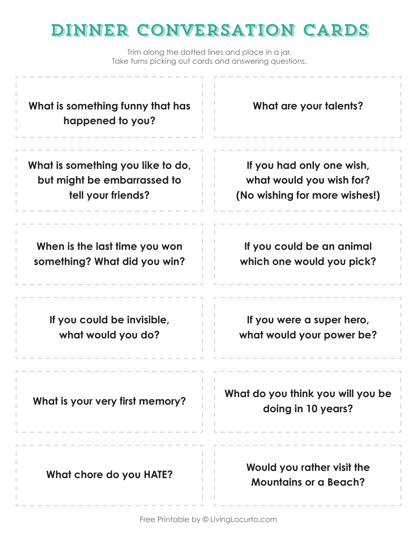| What is something funny that has<br>happened to you? | What are your talents?                                     |
|------------------------------------------------------|------------------------------------------------------------|
| What is something you like to do,                    | If you had only one wish,                                  |
| but might be embarrassed to                          | what would you wish for?                                   |
| tell your friends?                                   | (No wishing for more wishes!)                              |
| When is the last time you won                        | If you could be an animal                                  |
| something? What did you win?                         | which one would you pick?                                  |
| If you could be invisible,                           | If you were a super hero,                                  |
| what would you do?                                   | what would your power be?                                  |
| What is your very first memory?                      | What do you think you will you be<br>doing in 10 years?    |
| What chore do you HATE?                              | Would you rather visit the<br><b>Mountains or a Beach?</b> |